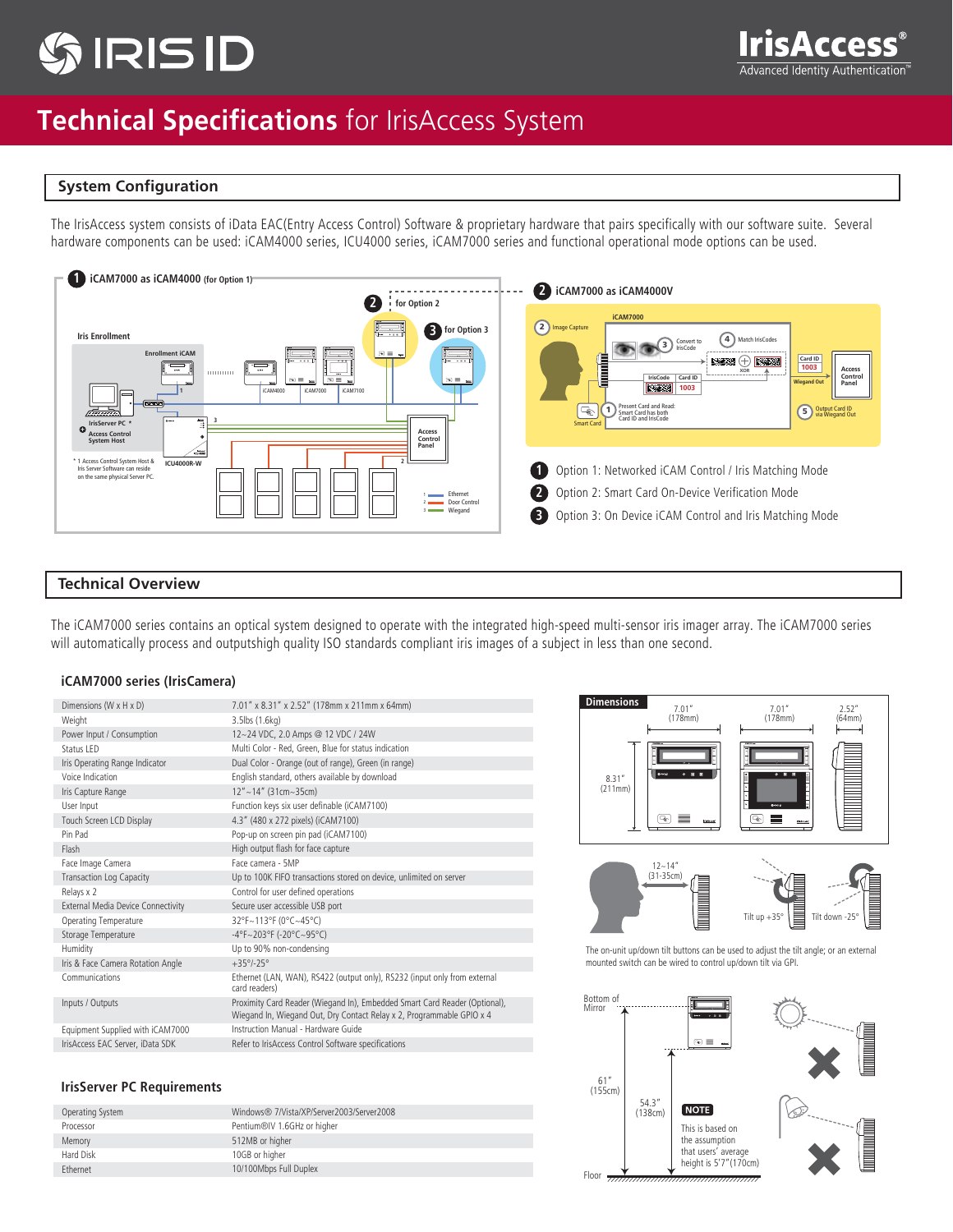# **TIRIS ID**



## **Technical Specifications** for IrisAccess System

#### **System Configuration**

The IrisAccess system consists of iData EAC(Entry Access Control) Software & proprietary hardware that pairs specifically with our software suite. Several hardware components can be used: iCAM4000 series, ICU4000 series, iCAM7000 series and functional operational mode options can be used.



#### **Technical Overview**

The iCAM7000 series contains an optical system designed to operate with the integrated high-speed multi-sensor iris imager array. The iCAM7000 series will automatically process and outputshigh quality ISO standards compliant iris images of a subject in less than one second.

#### **iCAM7000 series (IrisCamera)**

| Dimensions (W x H x D)             | 7.01" x 8.31" x 2.52" (178mm x 211mm x 64mm)                                                                                                        |
|------------------------------------|-----------------------------------------------------------------------------------------------------------------------------------------------------|
| Weight                             | 3.5lbs (1.6kg)                                                                                                                                      |
| Power Input / Consumption          | 12~24 VDC, 2.0 Amps @ 12 VDC / 24W                                                                                                                  |
| Status I FD                        | Multi Color - Red, Green, Blue for status indication                                                                                                |
| Iris Operating Range Indicator     | Dual Color - Orange (out of range), Green (in range)                                                                                                |
| Voice Indication                   | English standard, others available by download                                                                                                      |
| Iris Capture Range                 | $12'' - 14''$ (31cm~35cm)                                                                                                                           |
| User Input                         | Function keys six user definable (iCAM7100)                                                                                                         |
| Touch Screen LCD Display           | 4.3" (480 x 272 pixels) (iCAM7100)                                                                                                                  |
| Pin Pad                            | Pop-up on screen pin pad (iCAM7100)                                                                                                                 |
| Flash                              | High output flash for face capture                                                                                                                  |
| Face Image Camera                  | Face camera - 5MP                                                                                                                                   |
| <b>Transaction Log Capacity</b>    | Up to 100K FIFO transactions stored on device, unlimited on server                                                                                  |
| Relays x 2                         | Control for user defined operations                                                                                                                 |
| External Media Device Connectivity | Secure user accessible USB port                                                                                                                     |
| Operating Temperature              | 32°F~113°F (0°C~45°C)                                                                                                                               |
| Storage Temperature                | $-4^{\circ}F \sim 203^{\circ}F$ (-20°C~95°C)                                                                                                        |
| Humidity                           | Up to 90% non-condensing                                                                                                                            |
| Iris & Face Camera Rotation Angle  | $+35^{\circ}/-25^{\circ}$                                                                                                                           |
| Communications                     | Ethernet (LAN, WAN), RS422 (output only), RS232 (input only from external<br>card readers)                                                          |
| Inputs / Outputs                   | Proximity Card Reader (Wiegand In), Embedded Smart Card Reader (Optional),<br>Wiegand In, Wiegand Out, Dry Contact Relay x 2, Programmable GPIO x 4 |
| Equipment Supplied with iCAM7000   | Instruction Manual - Hardware Guide                                                                                                                 |
| IrisAccess EAC Server, iData SDK   | Refer to IrisAccess Control Software specifications                                                                                                 |

#### **IrisServer PC Requirements**

| Operating System | Windows® 7/Vista/XP/Server2003/Server2008 |
|------------------|-------------------------------------------|
| Processor        | Pentium®IV 1.6GHz or higher               |
| Memory           | 512MB or higher                           |
| Hard Disk        | 10GB or higher                            |
| <b>Ethernet</b>  | 10/100Mbps Full Duplex                    |





The on-unit up/down tilt buttons can be used to adjust the tilt angle; or an external mounted switch can be wired to control up/down tilt via GPI.